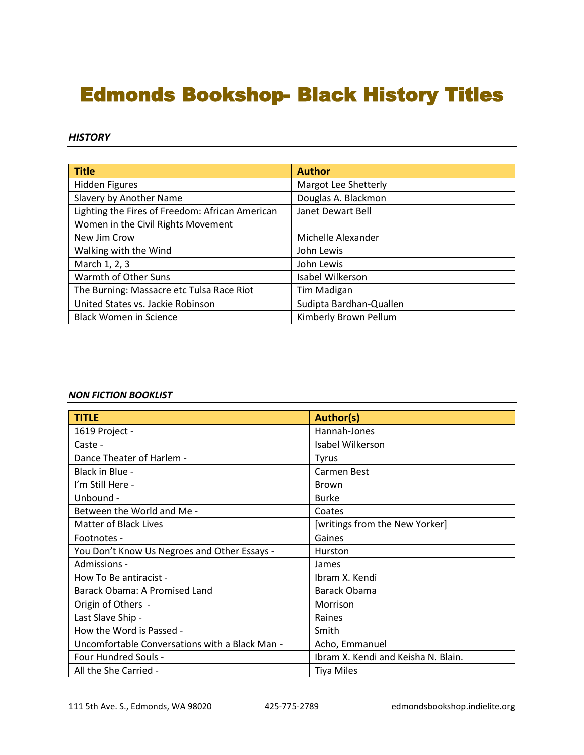# Edmonds Bookshop- Black History Titles

#### *HISTORY*

| <b>Title</b>                                    | <b>Author</b>           |
|-------------------------------------------------|-------------------------|
| <b>Hidden Figures</b>                           | Margot Lee Shetterly    |
| Slavery by Another Name                         | Douglas A. Blackmon     |
| Lighting the Fires of Freedom: African American | Janet Dewart Bell       |
| Women in the Civil Rights Movement              |                         |
| New Jim Crow                                    | Michelle Alexander      |
| Walking with the Wind                           | John Lewis              |
| March 1, 2, 3                                   | John Lewis              |
| Warmth of Other Suns                            | Isabel Wilkerson        |
| The Burning: Massacre etc Tulsa Race Riot       | Tim Madigan             |
| United States vs. Jackie Robinson               | Sudipta Bardhan-Quallen |
| <b>Black Women in Science</b>                   | Kimberly Brown Pellum   |

#### *NON FICTION BOOKLIST*

| <b>TITLE</b>                                   | <b>Author(s)</b>                    |
|------------------------------------------------|-------------------------------------|
| 1619 Project -                                 | Hannah-Jones                        |
| Caste -                                        | Isabel Wilkerson                    |
| Dance Theater of Harlem -                      | <b>Tyrus</b>                        |
| Black in Blue -                                | Carmen Best                         |
| I'm Still Here -                               | <b>Brown</b>                        |
| Unbound -                                      | <b>Burke</b>                        |
| Between the World and Me -                     | Coates                              |
| <b>Matter of Black Lives</b>                   | [writings from the New Yorker]      |
| Footnotes -                                    | Gaines                              |
| You Don't Know Us Negroes and Other Essays -   | Hurston                             |
| Admissions -                                   | James                               |
| How To Be antiracist -                         | Ibram X. Kendi                      |
| Barack Obama: A Promised Land                  | Barack Obama                        |
| Origin of Others -                             | Morrison                            |
| Last Slave Ship -                              | Raines                              |
| How the Word is Passed -                       | Smith                               |
| Uncomfortable Conversations with a Black Man - | Acho, Emmanuel                      |
| Four Hundred Souls -                           | Ibram X. Kendi and Keisha N. Blain. |
| All the She Carried -                          | <b>Tiya Miles</b>                   |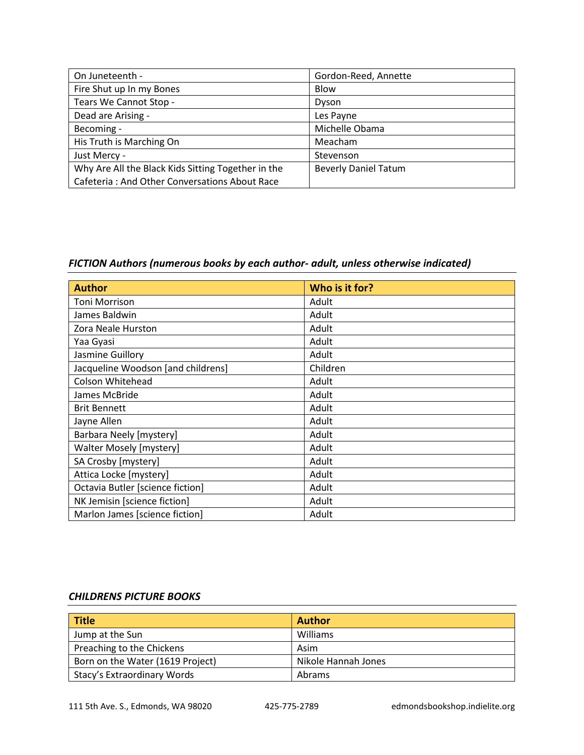| On Juneteenth -                                    | Gordon-Reed, Annette        |
|----------------------------------------------------|-----------------------------|
| Fire Shut up In my Bones                           | Blow                        |
| Tears We Cannot Stop -                             | Dyson                       |
| Dead are Arising -                                 | Les Payne                   |
| Becoming -                                         | Michelle Obama              |
| His Truth is Marching On                           | Meacham                     |
| Just Mercy -                                       | Stevenson                   |
| Why Are All the Black Kids Sitting Together in the | <b>Beverly Daniel Tatum</b> |
| Cafeteria: And Other Conversations About Race      |                             |

## *FICTION Authors (numerous books by each author- adult, unless otherwise indicated)*

| <b>Author</b>                      | Who is it for? |
|------------------------------------|----------------|
| Toni Morrison                      | Adult          |
| James Baldwin                      | Adult          |
| Zora Neale Hurston                 | Adult          |
| Yaa Gyasi                          | Adult          |
| Jasmine Guillory                   | Adult          |
| Jacqueline Woodson [and childrens] | Children       |
| Colson Whitehead                   | Adult          |
| James McBride                      | Adult          |
| <b>Brit Bennett</b>                | Adult          |
| Jayne Allen                        | Adult          |
| <b>Barbara Neely [mystery]</b>     | Adult          |
| <b>Walter Mosely [mystery]</b>     | Adult          |
| SA Crosby [mystery]                | Adult          |
| Attica Locke [mystery]             | Adult          |
| Octavia Butler [science fiction]   | Adult          |
| NK Jemisin [science fiction]       | Adult          |
| Marlon James [science fiction]     | Adult          |

### *CHILDRENS PICTURE BOOKS*

| <b>Title</b>                     | <b>Author</b>       |
|----------------------------------|---------------------|
| Jump at the Sun                  | Williams            |
| Preaching to the Chickens        | Asim                |
| Born on the Water (1619 Project) | Nikole Hannah Jones |
| Stacy's Extraordinary Words      | Abrams              |